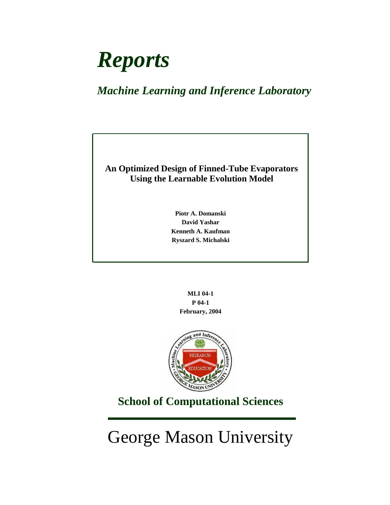# *Reports*

# *Machine Learning and Inference Laboratory*

# **An Optimized Design of Finned-Tube Evaporators Using the Learnable Evolution Model**

**Piotr A. Domanski David Yashar Kenneth A. Kaufman Ryszard S. Michalski**

> **MLI 04-1 P 04-1 February, 2004**



# **School of Computational Sciences**

George Mason University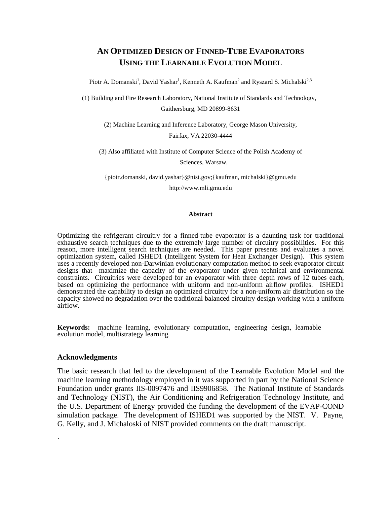# **AN OPTIMIZED DESIGN OF FINNED-TUBE EVAPORATORS USING THE LEARNABLE EVOLUTION MODEL**

Piotr A. Domanski<sup>1</sup>, David Yashar<sup>1</sup>, Kenneth A. Kaufman<sup>2</sup> and Ryszard S. Michalski<sup>2,3</sup>

(1) Building and Fire Research Laboratory, National Institute of Standards and Technology, Gaithersburg, MD 20899-8631

(2) Machine Learning and Inference Laboratory, George Mason University, Fairfax, VA 22030-4444

(3) Also affiliated with Institute of Computer Science of the Polish Academy of

Sciences, Warsaw.

{piotr.domanski, david.yashar}@nist.gov;{kaufman, michalski}@gmu.edu http://www.mli.gmu.edu

#### **Abstract**

Optimizing the refrigerant circuitry for a finned-tube evaporator is a daunting task for traditional exhaustive search techniques due to the extremely large number of circuitry possibilities. For this reason, more intelligent search techniques are needed. This paper presents and evaluates a novel optimization system, called ISHED1 (Intelligent System for Heat Exchanger Design). This system uses a recently developed non-Darwinian evolutionary computation method to seek evaporator circuit designs that maximize the capacity of the evaporator under given technical and environmental constraints. Circuitries were developed for an evaporator with three depth rows of 12 tubes each, based on optimizing the performance with uniform and non-uniform airflow profiles. ISHED1 demonstrated the capability to design an optimized circuitry for a non-uniform air distribution so the capacity showed no degradation over the traditional balanced circuitry design working with a uniform airflow.

**Keywords:** machine learning, evolutionary computation, engineering design, learnable evolution model, multistrategy learning

#### **Acknowledgments**

.

The basic research that led to the development of the Learnable Evolution Model and the machine learning methodology employed in it was supported in part by the National Science Foundation under grants IIS-0097476 and IIS9906858. The National Institute of Standards and Technology (NIST), the Air Conditioning and Refrigeration Technology Institute, and the U.S. Department of Energy provided the funding the development of the EVAP-COND simulation package. The development of ISHED1 was supported by the NIST. V. Payne, G. Kelly, and J. Michaloski of NIST provided comments on the draft manuscript.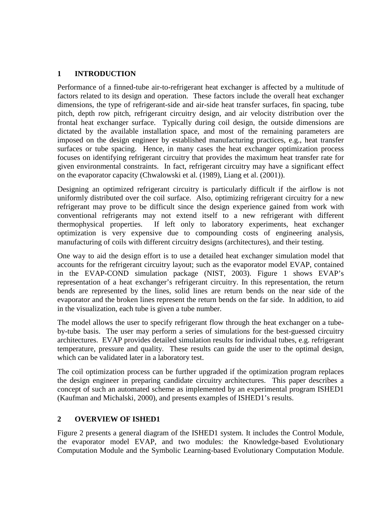## **1 INTRODUCTION**

Performance of a finned-tube air-to-refrigerant heat exchanger is affected by a multitude of factors related to its design and operation. These factors include the overall heat exchanger dimensions, the type of refrigerant-side and air-side heat transfer surfaces, fin spacing, tube pitch, depth row pitch, refrigerant circuitry design, and air velocity distribution over the frontal heat exchanger surface. Typically during coil design, the outside dimensions are dictated by the available installation space, and most of the remaining parameters are imposed on the design engineer by established manufacturing practices, e.g., heat transfer surfaces or tube spacing. Hence, in many cases the heat exchanger optimization process focuses on identifying refrigerant circuitry that provides the maximum heat transfer rate for given environmental constraints. In fact, refrigerant circuitry may have a significant effect on the evaporator capacity (Chwalowski et al. (1989), Liang et al. (2001)).

Designing an optimized refrigerant circuitry is particularly difficult if the airflow is not uniformly distributed over the coil surface. Also, optimizing refrigerant circuitry for a new refrigerant may prove to be difficult since the design experience gained from work with conventional refrigerants may not extend itself to a new refrigerant with different thermophysical properties. If left only to laboratory experiments, heat exchanger optimization is very expensive due to compounding costs of engineering analysis, manufacturing of coils with different circuitry designs (architectures), and their testing.

One way to aid the design effort is to use a detailed heat exchanger simulation model that accounts for the refrigerant circuitry layout; such as the evaporator model EVAP, contained in the EVAP-COND simulation package (NIST, 2003). Figure 1 shows EVAP's representation of a heat exchanger's refrigerant circuitry. In this representation, the return bends are represented by the lines, solid lines are return bends on the near side of the evaporator and the broken lines represent the return bends on the far side. In addition, to aid in the visualization, each tube is given a tube number.

The model allows the user to specify refrigerant flow through the heat exchanger on a tubeby-tube basis. The user may perform a series of simulations for the best-guessed circuitry architectures. EVAP provides detailed simulation results for individual tubes, e.g. refrigerant temperature, pressure and quality. These results can guide the user to the optimal design, which can be validated later in a laboratory test.

The coil optimization process can be further upgraded if the optimization program replaces the design engineer in preparing candidate circuitry architectures. This paper describes a concept of such an automated scheme as implemented by an experimental program ISHED1 (Kaufman and Michalski, 2000), and presents examples of ISHED1's results.

### **2 OVERVIEW OF ISHED1**

Figure 2 presents a general diagram of the ISHED1 system. It includes the Control Module, the evaporator model EVAP, and two modules: the Knowledge-based Evolutionary Computation Module and the Symbolic Learning-based Evolutionary Computation Module.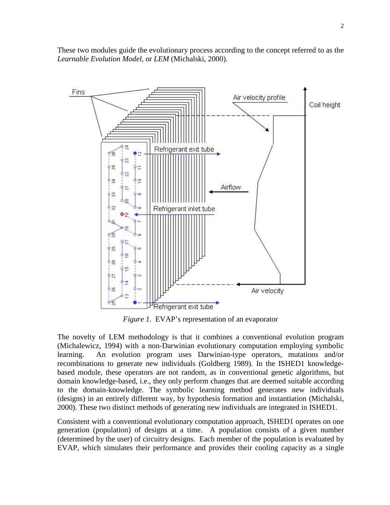These two modules guide the evolutionary process according to the concept referred to as the *Learnable Evolution Model,* or *LEM* (Michalski, 2000).



*Figure 1.* EVAP's representation of an evaporator

The novelty of LEM methodology is that it combines a conventional evolution program (Michalewicz, 1994) with a non-Darwinian evolutionary computation employing symbolic learning. An evolution program uses Darwinian-type operators, mutations and/or recombinations to generate new individuals (Goldberg 1989). In the ISHED1 knowledgebased module, these operators are not random, as in conventional genetic algorithms, but domain knowledge-based, i.e., they only perform changes that are deemed suitable according to the domain-knowledge. The symbolic learning method generates new individuals (designs) in an entirely different way, by hypothesis formation and instantiation (Michalski, 2000). These two distinct methods of generating new individuals are integrated in ISHED1.

Consistent with a conventional evolutionary computation approach, ISHED1 operates on one generation (population) of designs at a time. A population consists of a given number (determined by the user) of circuitry designs. Each member of the population is evaluated by EVAP, which simulates their performance and provides their cooling capacity as a single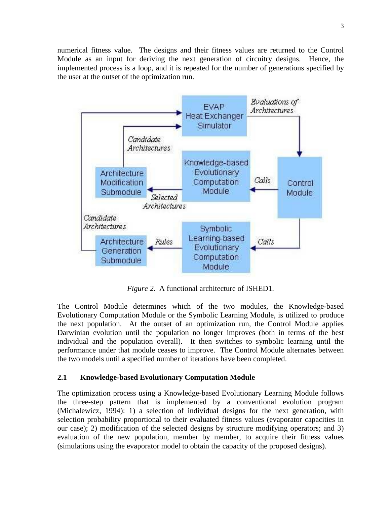numerical fitness value. The designs and their fitness values are returned to the Control Module as an input for deriving the next generation of circuitry designs. Hence, the implemented process is a loop, and it is repeated for the number of generations specified by the user at the outset of the optimization run.



*Figure 2.* A functional architecture of ISHED1.

The Control Module determines which of the two modules, the Knowledge-based Evolutionary Computation Module or the Symbolic Learning Module, is utilized to produce the next population. At the outset of an optimization run, the Control Module applies Darwinian evolution until the population no longer improves (both in terms of the best individual and the population overall). It then switches to symbolic learning until the performance under that module ceases to improve. The Control Module alternates between the two models until a specified number of iterations have been completed.

# **2.1 Knowledge-based Evolutionary Computation Module**

The optimization process using a Knowledge-based Evolutionary Learning Module follows the three-step pattern that is implemented by a conventional evolution program (Michalewicz, 1994): 1) a selection of individual designs for the next generation, with selection probability proportional to their evaluated fitness values (evaporator capacities in our case); 2) modification of the selected designs by structure modifying operators; and 3) evaluation of the new population, member by member, to acquire their fitness values (simulations using the evaporator model to obtain the capacity of the proposed designs).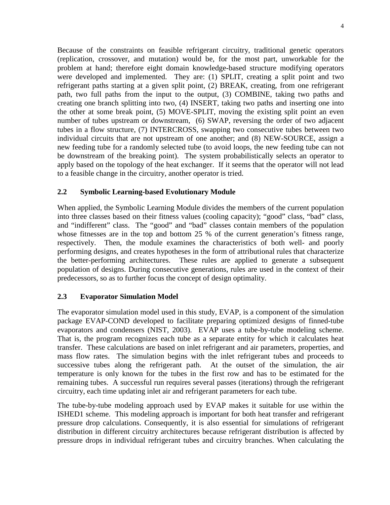Because of the constraints on feasible refrigerant circuitry, traditional genetic operators (replication, crossover, and mutation) would be, for the most part, unworkable for the problem at hand; therefore eight domain knowledge-based structure modifying operators were developed and implemented. They are: (1) SPLIT, creating a split point and two refrigerant paths starting at a given split point, (2) BREAK, creating, from one refrigerant path, two full paths from the input to the output, (3) COMBINE, taking two paths and creating one branch splitting into two, (4) INSERT, taking two paths and inserting one into the other at some break point, (5) MOVE-SPLIT, moving the existing split point an even number of tubes upstream or downstream, (6) SWAP, reversing the order of two adjacent tubes in a flow structure, (7) INTERCROSS, swapping two consecutive tubes between two individual circuits that are not upstream of one another; and (8) NEW-SOURCE, assign a new feeding tube for a randomly selected tube (to avoid loops, the new feeding tube can not be downstream of the breaking point). The system probabilistically selects an operator to apply based on the topology of the heat exchanger. If it seems that the operator will not lead to a feasible change in the circuitry, another operator is tried.

### **2.2 Symbolic Learning-based Evolutionary Module**

When applied, the Symbolic Learning Module divides the members of the current population into three classes based on their fitness values (cooling capacity); "good" class, "bad" class, and "indifferent" class. The "good" and "bad" classes contain members of the population whose fitnesses are in the top and bottom 25 % of the current generation's fitness range, respectively. Then, the module examines the characteristics of both well- and poorly performing designs, and creates hypotheses in the form of attributional rules that characterize the better-performing architectures. These rules are applied to generate a subsequent population of designs. During consecutive generations, rules are used in the context of their predecessors, so as to further focus the concept of design optimality.

### **2.3 Evaporator Simulation Model**

The evaporator simulation model used in this study, EVAP, is a component of the simulation package EVAP-COND developed to facilitate preparing optimized designs of finned-tube evaporators and condensers (NIST, 2003). EVAP uses a tube-by-tube modeling scheme. That is, the program recognizes each tube as a separate entity for which it calculates heat transfer. These calculations are based on inlet refrigerant and air parameters, properties, and mass flow rates. The simulation begins with the inlet refrigerant tubes and proceeds to successive tubes along the refrigerant path. At the outset of the simulation, the air temperature is only known for the tubes in the first row and has to be estimated for the remaining tubes. A successful run requires several passes (iterations) through the refrigerant circuitry, each time updating inlet air and refrigerant parameters for each tube.

The tube-by-tube modeling approach used by EVAP makes it suitable for use within the ISHED1 scheme. This modeling approach is important for both heat transfer and refrigerant pressure drop calculations. Consequently, it is also essential for simulations of refrigerant distribution in different circuitry architectures because refrigerant distribution is affected by pressure drops in individual refrigerant tubes and circuitry branches. When calculating the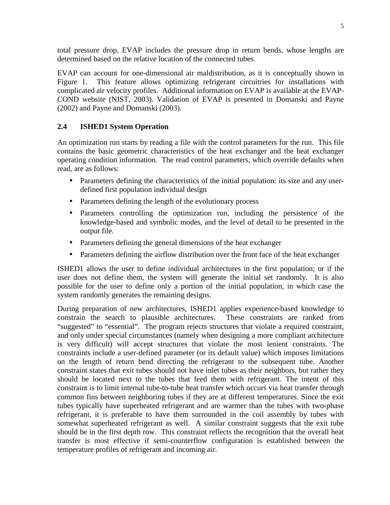total pressure drop, EVAP includes the pressure drop in return bends, whose lengths are determined based on the relative location of the connected tubes.

EVAP can account for one-dimensional air maldistribution, as it is conceptually shown in Figure 1. This feature allows optimizing refrigerant circuitries for installations with complicated air velocity profiles. Additional information on EVAP is available at the EVAP-COND website (NIST, 2003). Validation of EVAP is presented in Domanski and Payne (2002) and Payne and Domanski (2003).

## **2.4 ISHED1 System Operation**

An optimization run starts by reading a file with the control parameters for the run. This file contains the basic geometric characteristics of the heat exchanger and the heat exchanger operating condition information. The read control parameters, which override defaults when read, are as follows:

- Parameters defining the characteristics of the initial population: its size and any userdefined first population individual design
- Parameters defining the length of the evolutionary process
- Parameters controlling the optimization run, including the persistence of the knowledge-based and symbolic modes, and the level of detail to be presented in the output file.
- Parameters defining the general dimensions of the heat exchanger
- Parameters defining the airflow distribution over the front face of the heat exchanger

ISHED1 allows the user to define individual architectures in the first population; or if the user does not define them, the system will generate the initial set randomly. It is also possible for the user to define only a portion of the initial population, in which case the system randomly generates the remaining designs.

During preparation of new architectures, ISHED1 applies experience-based knowledge to constrain the search to plausible architectures. These constraints are ranked from "suggested" to "essential". The program rejects structures that violate a required constraint, and only under special circumstances (namely when designing a more compliant architecture is very difficult) will accept structures that violate the most lenient constraints. The constraints include a user-defined parameter (or its default value) which imposes limitations on the length of return bend directing the refrigerant to the subsequent tube. Another constraint states that exit tubes should not have inlet tubes as their neighbors, but rather they should be located next to the tubes that feed them with refrigerant. The intent of this constraint is to limit internal tube-to-tube heat transfer which occurs via heat transfer through common fins between neighboring tubes if they are at different temperatures. Since the exit tubes typically have superheated refrigerant and are warmer than the tubes with two-phase refrigerant, it is preferable to have them surrounded in the coil assembly by tubes with somewhat superheated refrigerant as well. A similar constraint suggests that the exit tube should be in the first depth row. This constraint reflects the recognition that the overall heat transfer is most effective if semi-counterflow configuration is established between the temperature profiles of refrigerant and incoming air.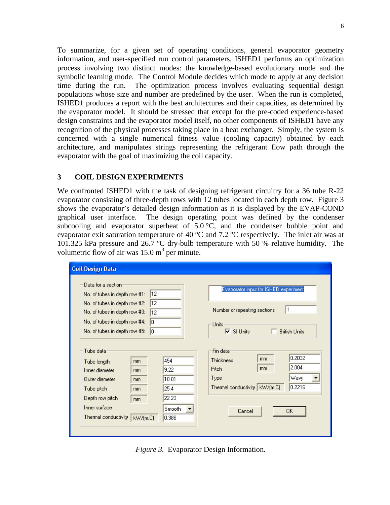To summarize, for a given set of operating conditions, general evaporator geometry information, and user-specified run control parameters, ISHED1 performs an optimization process involving two distinct modes: the knowledge-based evolutionary mode and the symbolic learning mode. The Control Module decides which mode to apply at any decision time during the run. The optimization process involves evaluating sequential design populations whose size and number are predefined by the user. When the run is completed, ISHED1 produces a report with the best architectures and their capacities, as determined by the evaporator model. It should be stressed that except for the pre-coded experience-based design constraints and the evaporator model itself, no other components of ISHED1 have any recognition of the physical processes taking place in a heat exchanger. Simply, the system is concerned with a single numerical fitness value (cooling capacity) obtained by each architecture, and manipulates strings representing the refrigerant flow path through the evaporator with the goal of maximizing the coil capacity.

#### **3 COIL DESIGN EXPERIMENTS**

We confronted ISHED1 with the task of designing refrigerant circuitry for a 36 tube R-22 evaporator consisting of three-depth rows with 12 tubes located in each depth row. Figure 3 shows the evaporator's detailed design information as it is displayed by the EVAP-COND graphical user interface. The design operating point was defined by the condenser subcooling and evaporator superheat of  $5.0 \degree C$ , and the condenser bubble point and evaporator exit saturation temperature of 40 °C and 7.2 °C respectively. The inlet air was at 101.325 kPa pressure and 26.7 ºC dry-bulb temperature with 50 % relative humidity. The volumetric flow of air was  $15.0 \text{ m}^3$  per minute.

| <b>Coil Design Data</b>                                                                                                                                                                                                  |                                                                                                                                                                                                                  |
|--------------------------------------------------------------------------------------------------------------------------------------------------------------------------------------------------------------------------|------------------------------------------------------------------------------------------------------------------------------------------------------------------------------------------------------------------|
| Data for a section:<br>12<br>No. of tubes in depth row #1:<br>12<br>No. of tubes in depth row #2:<br>No, of tubes in depth row #3:<br>12<br>No. of tubes in depth row #4:<br>lo.<br>lo.<br>No. of tubes in depth row #5: | Evaporator input for ISHED experiment<br>$\vert$ 1<br>Number of repeating sections<br>Units<br>$\overline{\triangledown}$ SI Units<br><b>British Units</b>                                                       |
| Tube data<br>mm.<br>Tube length<br>Inner diameter<br>mm.<br>Outer diameter<br>mm.<br>Tube pitch<br>mm.<br>Depth row pitch<br>mm.<br>Inner surface<br>Thermal conductivity<br>kW/[m.C]                                    | Fin data<br>0.2032<br>mm.<br>Thickness<br>454<br>2.004<br>mm.<br><b>Pitch</b><br>9.22<br>Wavy<br>Type<br>10.01<br>0.2216<br>Thermal conductivity   kW/(m.C)<br>25.4<br>22.23<br>Smooth<br>OK.<br>Cancel<br>0.386 |

*Figure 3.* Evaporator Design Information.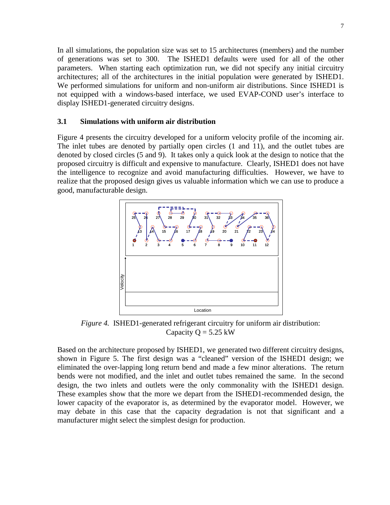In all simulations, the population size was set to 15 architectures (members) and the number of generations was set to 300. The ISHED1 defaults were used for all of the other parameters. When starting each optimization run, we did not specify any initial circuitry architectures; all of the architectures in the initial population were generated by ISHED1. We performed simulations for uniform and non-uniform air distributions. Since ISHED1 is not equipped with a windows-based interface, we used EVAP-COND user's interface to display ISHED1-generated circuitry designs.

#### **3.1 Simulations with uniform air distribution**

Figure 4 presents the circuitry developed for a uniform velocity profile of the incoming air. The inlet tubes are denoted by partially open circles (1 and 11), and the outlet tubes are denoted by closed circles (5 and 9). It takes only a quick look at the design to notice that the proposed circuitry is difficult and expensive to manufacture. Clearly, ISHED1 does not have the intelligence to recognize and avoid manufacturing difficulties. However, we have to realize that the proposed design gives us valuable information which we can use to produce a good, manufacturable design.



*Figure 4.* ISHED1-generated refrigerant circuitry for uniform air distribution: Capacity  $Q = 5.25$  kW

Based on the architecture proposed by ISHED1, we generated two different circuitry designs, shown in Figure 5. The first design was a "cleaned" version of the ISHED1 design; we eliminated the over-lapping long return bend and made a few minor alterations. The return bends were not modified, and the inlet and outlet tubes remained the same. In the second design, the two inlets and outlets were the only commonality with the ISHED1 design. These examples show that the more we depart from the ISHED1-recommended design, the lower capacity of the evaporator is, as determined by the evaporator model. However, we may debate in this case that the capacity degradation is not that significant and a manufacturer might select the simplest design for production.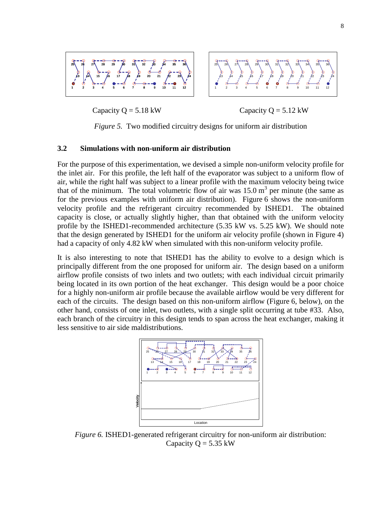

Capacity  $Q = 5.18 \text{ kW}$  Capacity  $Q = 5.12 \text{ kW}$ 

*Figure 5.* Two modified circuitry designs for uniform air distribution

#### **3.2 Simulations with non-uniform air distribution**

For the purpose of this experimentation, we devised a simple non-uniform velocity profile for the inlet air. For this profile, the left half of the evaporator was subject to a uniform flow of air, while the right half was subject to a linear profile with the maximum velocity being twice that of the minimum. The total volumetric flow of air was  $15.0 \text{ m}^3$  per minute (the same as for the previous examples with uniform air distribution). Figure 6 shows the non-uniform velocity profile and the refrigerant circuitry recommended by ISHED1. The obtained capacity is close, or actually slightly higher, than that obtained with the uniform velocity profile by the ISHED1-recommended architecture (5.35 kW vs. 5.25 kW). We should note that the design generated by ISHED1 for the uniform air velocity profile (shown in Figure 4) had a capacity of only 4.82 kW when simulated with this non-uniform velocity profile.

It is also interesting to note that ISHED1 has the ability to evolve to a design which is principally different from the one proposed for uniform air. The design based on a uniform airflow profile consists of two inlets and two outlets; with each individual circuit primarily being located in its own portion of the heat exchanger. This design would be a poor choice for a highly non-uniform air profile because the available airflow would be very different for each of the circuits. The design based on this non-uniform airflow (Figure 6, below), on the other hand, consists of one inlet, two outlets, with a single split occurring at tube #33. Also, each branch of the circuitry in this design tends to span across the heat exchanger, making it less sensitive to air side maldistributions.



*Figure 6.* ISHED1-generated refrigerant circuitry for non-uniform air distribution: Capacity  $Q = 5.35$  kW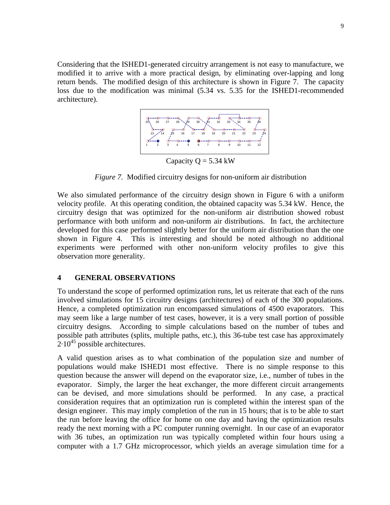Considering that the ISHED1-generated circuitry arrangement is not easy to manufacture, we modified it to arrive with a more practical design, by eliminating over-lapping and long return bends. The modified design of this architecture is shown in Figure 7. The capacity loss due to the modification was minimal (5.34 vs. 5.35 for the ISHED1-recommended architecture).



Capacity  $Q = 5.34$  kW

*Figure 7.* Modified circuitry designs for non-uniform air distribution

We also simulated performance of the circuitry design shown in Figure 6 with a uniform velocity profile. At this operating condition, the obtained capacity was 5.34 kW. Hence, the circuitry design that was optimized for the non-uniform air distribution showed robust performance with both uniform and non-uniform air distributions. In fact, the architecture developed for this case performed slightly better for the uniform air distribution than the one shown in Figure 4. This is interesting and should be noted although no additional experiments were performed with other non-uniform velocity profiles to give this observation more generality.

### **4 GENERAL OBSERVATIONS**

To understand the scope of performed optimization runs, let us reiterate that each of the runs involved simulations for 15 circuitry designs (architectures) of each of the 300 populations. Hence, a completed optimization run encompassed simulations of 4500 evaporators. This may seem like a large number of test cases, however, it is a very small portion of possible circuitry designs. According to simple calculations based on the number of tubes and possible path attributes (splits, multiple paths, etc.), this 36-tube test case has approximately  $2.10^{45}$  possible architectures.

A valid question arises as to what combination of the population size and number of populations would make ISHED1 most effective. There is no simple response to this question because the answer will depend on the evaporator size, i.e., number of tubes in the evaporator. Simply, the larger the heat exchanger, the more different circuit arrangements can be devised, and more simulations should be performed. In any case, a practical consideration requires that an optimization run is completed within the interest span of the design engineer. This may imply completion of the run in 15 hours; that is to be able to start the run before leaving the office for home on one day and having the optimization results ready the next morning with a PC computer running overnight. In our case of an evaporator with 36 tubes, an optimization run was typically completed within four hours using a computer with a 1.7 GHz microprocessor, which yields an average simulation time for a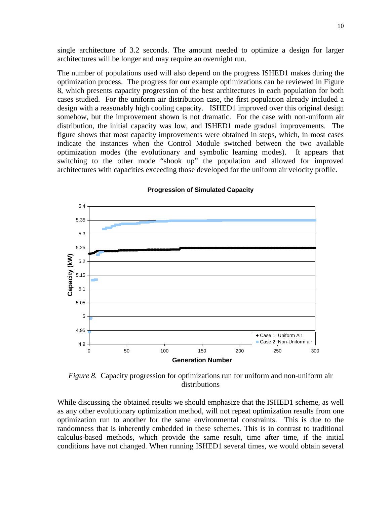single architecture of 3.2 seconds. The amount needed to optimize a design for larger architectures will be longer and may require an overnight run.

The number of populations used will also depend on the progress ISHED1 makes during the optimization process. The progress for our example optimizations can be reviewed in Figure 8, which presents capacity progression of the best architectures in each population for both cases studied. For the uniform air distribution case, the first population already included a design with a reasonably high cooling capacity. ISHED1 improved over this original design somehow, but the improvement shown is not dramatic. For the case with non-uniform air distribution, the initial capacity was low, and ISHED1 made gradual improvements. The figure shows that most capacity improvements were obtained in steps, which, in most cases indicate the instances when the Control Module switched between the two available optimization modes (the evolutionary and symbolic learning modes). It appears that switching to the other mode "shook up" the population and allowed for improved architectures with capacities exceeding those developed for the uniform air velocity profile.



#### **Progression of Simulated Capacity**

*Figure 8.* Capacity progression for optimizations run for uniform and non-uniform air distributions

While discussing the obtained results we should emphasize that the ISHED1 scheme, as well as any other evolutionary optimization method, will not repeat optimization results from one optimization run to another for the same environmental constraints. This is due to the randomness that is inherently embedded in these schemes. This is in contrast to traditional calculus-based methods, which provide the same result, time after time, if the initial conditions have not changed. When running ISHED1 several times, we would obtain several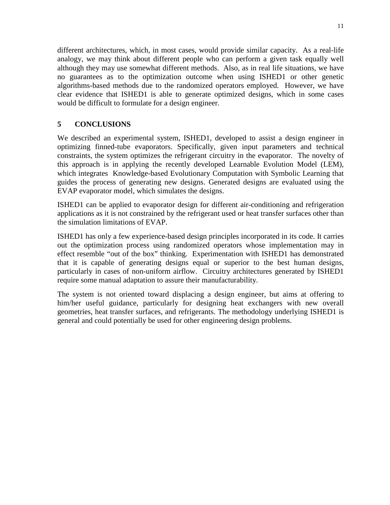different architectures, which, in most cases, would provide similar capacity. As a real-life analogy, we may think about different people who can perform a given task equally well although they may use somewhat different methods. Also, as in real life situations, we have no guarantees as to the optimization outcome when using ISHED1 or other genetic algorithms-based methods due to the randomized operators employed. However, we have clear evidence that ISHED1 is able to generate optimized designs, which in some cases would be difficult to formulate for a design engineer.

## **5 CONCLUSIONS**

We described an experimental system, ISHED1, developed to assist a design engineer in optimizing finned-tube evaporators. Specifically, given input parameters and technical constraints, the system optimizes the refrigerant circuitry in the evaporator. The novelty of this approach is in applying the recently developed Learnable Evolution Model (LEM), which integrates Knowledge-based Evolutionary Computation with Symbolic Learning that guides the process of generating new designs. Generated designs are evaluated using the EVAP evaporator model, which simulates the designs.

ISHED1 can be applied to evaporator design for different air-conditioning and refrigeration applications as it is not constrained by the refrigerant used or heat transfer surfaces other than the simulation limitations of EVAP.

ISHED1 has only a few experience-based design principles incorporated in its code. It carries out the optimization process using randomized operators whose implementation may in effect resemble "out of the box" thinking. Experimentation with ISHED1 has demonstrated that it is capable of generating designs equal or superior to the best human designs, particularly in cases of non-uniform airflow. Circuitry architectures generated by ISHED1 require some manual adaptation to assure their manufacturability.

The system is not oriented toward displacing a design engineer, but aims at offering to him/her useful guidance, particularly for designing heat exchangers with new overall geometries, heat transfer surfaces, and refrigerants. The methodology underlying ISHED1 is general and could potentially be used for other engineering design problems.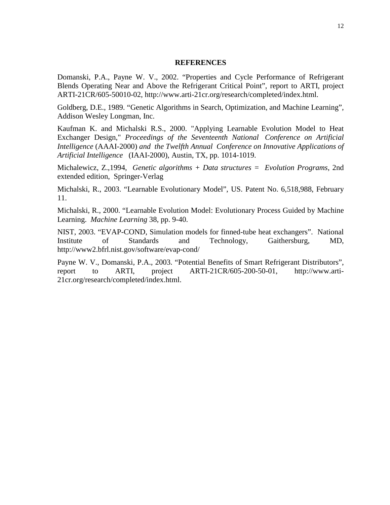#### **REFERENCES**

Domanski, P.A., Payne W. V., 2002. "Properties and Cycle Performance of Refrigerant Blends Operating Near and Above the Refrigerant Critical Point", report to ARTI, project ARTI-21CR/605-50010-02, http://www.arti-21cr.org/research/completed/index.html.

Goldberg, D.E., 1989. "Genetic Algorithms in Search, Optimization, and Machine Learning", Addison Wesley Longman, Inc.

Kaufman K. and Michalski R.S., 2000. "Applying Learnable Evolution Model to Heat Exchanger Design," *Proceedings of the Seventeenth National Conference on Artificial Intelligence* (AAAI-2000) *and the Twelfth Annual Conference on Innovative Applications of Artificial Intelligence* (IAAI-2000), Austin, TX, pp. 1014-1019.

Michalewicz, Z.,1994, *Genetic algorithms + Data structures = Evolution Programs*, 2nd extended edition, Springer-Verlag

Michalski, R., 2003. "Learnable Evolutionary Model", US. Patent No. 6,518,988, February 11.

Michalski, R., 2000. "Learnable Evolution Model: Evolutionary Process Guided by Machine Learning. *Machine Learning* 38, pp. 9-40.

NIST, 2003. "EVAP-COND, Simulation models for finned-tube heat exchangers". National Institute of Standards and Technology, Gaithersburg, MD, http://www2.bfrl.nist.gov/software/evap-cond/

Payne W. V., Domanski, P.A., 2003. "Potential Benefits of Smart Refrigerant Distributors", report to ARTI, project ARTI-21CR/605-200-50-01, http://www.arti-21cr.org/research/completed/index.html.